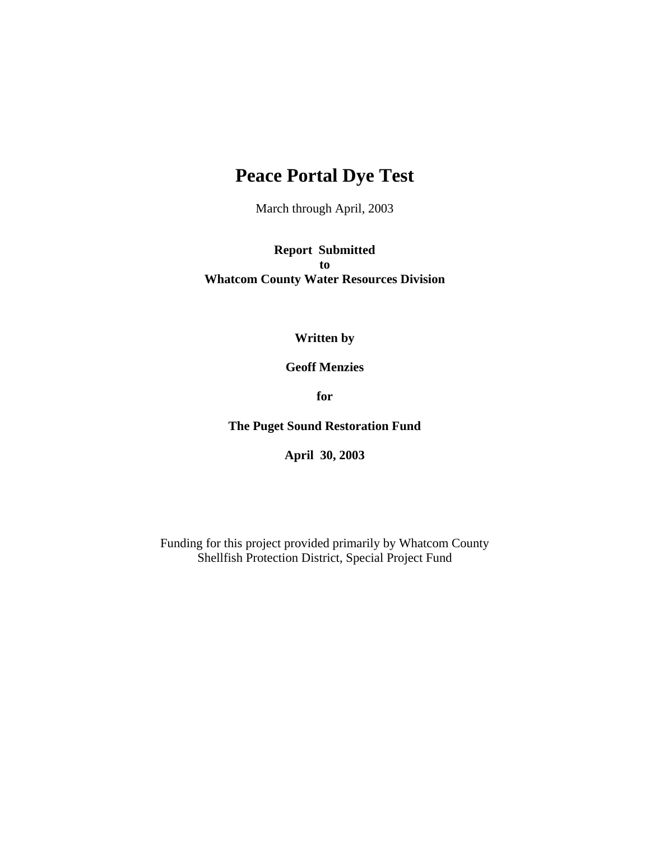# **Peace Portal Dye Test**

March through April, 2003

**Report Submitted to Whatcom County Water Resources Division** 

# **Written by**

**Geoff Menzies** 

**for** 

**The Puget Sound Restoration Fund** 

**April 30, 2003** 

Funding for this project provided primarily by Whatcom County Shellfish Protection District, Special Project Fund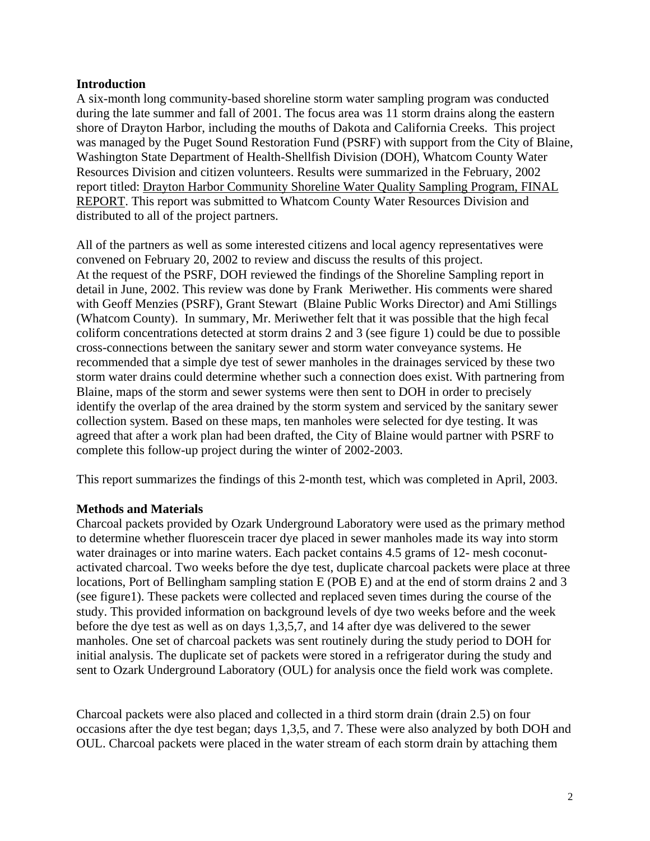## **Introduction**

A six-month long community-based shoreline storm water sampling program was conducted during the late summer and fall of 2001. The focus area was 11 storm drains along the eastern shore of Drayton Harbor, including the mouths of Dakota and California Creeks. This project was managed by the Puget Sound Restoration Fund (PSRF) with support from the City of Blaine, Washington State Department of Health-Shellfish Division (DOH), Whatcom County Water Resources Division and citizen volunteers. Results were summarized in the February, 2002 report titled: Drayton Harbor Community Shoreline Water Quality Sampling Program, FINAL REPORT. This report was submitted to Whatcom County Water Resources Division and distributed to all of the project partners.

All of the partners as well as some interested citizens and local agency representatives were convened on February 20, 2002 to review and discuss the results of this project. At the request of the PSRF, DOH reviewed the findings of the Shoreline Sampling report in detail in June, 2002. This review was done by Frank Meriwether. His comments were shared with Geoff Menzies (PSRF), Grant Stewart (Blaine Public Works Director) and Ami Stillings (Whatcom County). In summary, Mr. Meriwether felt that it was possible that the high fecal coliform concentrations detected at storm drains 2 and 3 (see figure 1) could be due to possible cross-connections between the sanitary sewer and storm water conveyance systems. He recommended that a simple dye test of sewer manholes in the drainages serviced by these two storm water drains could determine whether such a connection does exist. With partnering from Blaine, maps of the storm and sewer systems were then sent to DOH in order to precisely identify the overlap of the area drained by the storm system and serviced by the sanitary sewer collection system. Based on these maps, ten manholes were selected for dye testing. It was agreed that after a work plan had been drafted, the City of Blaine would partner with PSRF to complete this follow-up project during the winter of 2002-2003.

This report summarizes the findings of this 2-month test, which was completed in April, 2003.

## **Methods and Materials**

Charcoal packets provided by Ozark Underground Laboratory were used as the primary method to determine whether fluorescein tracer dye placed in sewer manholes made its way into storm water drainages or into marine waters. Each packet contains 4.5 grams of 12- mesh coconutactivated charcoal. Two weeks before the dye test, duplicate charcoal packets were place at three locations, Port of Bellingham sampling station E (POB E) and at the end of storm drains 2 and 3 (see figure1). These packets were collected and replaced seven times during the course of the study. This provided information on background levels of dye two weeks before and the week before the dye test as well as on days 1,3,5,7, and 14 after dye was delivered to the sewer manholes. One set of charcoal packets was sent routinely during the study period to DOH for initial analysis. The duplicate set of packets were stored in a refrigerator during the study and sent to Ozark Underground Laboratory (OUL) for analysis once the field work was complete.

Charcoal packets were also placed and collected in a third storm drain (drain 2.5) on four occasions after the dye test began; days 1,3,5, and 7. These were also analyzed by both DOH and OUL. Charcoal packets were placed in the water stream of each storm drain by attaching them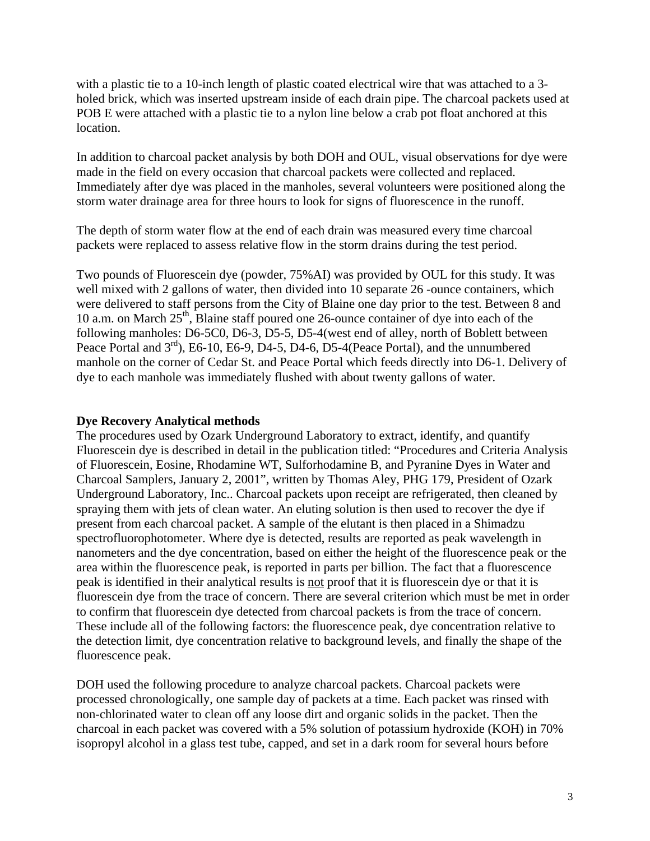with a plastic tie to a 10-inch length of plastic coated electrical wire that was attached to a 3holed brick, which was inserted upstream inside of each drain pipe. The charcoal packets used at POB E were attached with a plastic tie to a nylon line below a crab pot float anchored at this location.

In addition to charcoal packet analysis by both DOH and OUL, visual observations for dye were made in the field on every occasion that charcoal packets were collected and replaced. Immediately after dye was placed in the manholes, several volunteers were positioned along the storm water drainage area for three hours to look for signs of fluorescence in the runoff.

The depth of storm water flow at the end of each drain was measured every time charcoal packets were replaced to assess relative flow in the storm drains during the test period.

Two pounds of Fluorescein dye (powder, 75%AI) was provided by OUL for this study. It was well mixed with 2 gallons of water, then divided into 10 separate 26 -ounce containers, which were delivered to staff persons from the City of Blaine one day prior to the test. Between 8 and 10 a.m. on March  $25<sup>th</sup>$ , Blaine staff poured one 26-ounce container of dye into each of the following manholes: D6-5C0, D6-3, D5-5, D5-4(west end of alley, north of Boblett between Peace Portal and  $3<sup>rd</sup>$ ), E6-10, E6-9, D4-5, D4-6, D5-4(Peace Portal), and the unnumbered manhole on the corner of Cedar St. and Peace Portal which feeds directly into D6-1. Delivery of dye to each manhole was immediately flushed with about twenty gallons of water.

# **Dye Recovery Analytical methods**

The procedures used by Ozark Underground Laboratory to extract, identify, and quantify Fluorescein dye is described in detail in the publication titled: "Procedures and Criteria Analysis of Fluorescein, Eosine, Rhodamine WT, Sulforhodamine B, and Pyranine Dyes in Water and Charcoal Samplers, January 2, 2001", written by Thomas Aley, PHG 179, President of Ozark Underground Laboratory, Inc.. Charcoal packets upon receipt are refrigerated, then cleaned by spraying them with jets of clean water. An eluting solution is then used to recover the dye if present from each charcoal packet. A sample of the elutant is then placed in a Shimadzu spectrofluorophotometer. Where dye is detected, results are reported as peak wavelength in nanometers and the dye concentration, based on either the height of the fluorescence peak or the area within the fluorescence peak, is reported in parts per billion. The fact that a fluorescence peak is identified in their analytical results is not proof that it is fluorescein dye or that it is fluorescein dye from the trace of concern. There are several criterion which must be met in order to confirm that fluorescein dye detected from charcoal packets is from the trace of concern. These include all of the following factors: the fluorescence peak, dye concentration relative to the detection limit, dye concentration relative to background levels, and finally the shape of the fluorescence peak.

DOH used the following procedure to analyze charcoal packets. Charcoal packets were processed chronologically, one sample day of packets at a time. Each packet was rinsed with non-chlorinated water to clean off any loose dirt and organic solids in the packet. Then the charcoal in each packet was covered with a 5% solution of potassium hydroxide (KOH) in 70% isopropyl alcohol in a glass test tube, capped, and set in a dark room for several hours before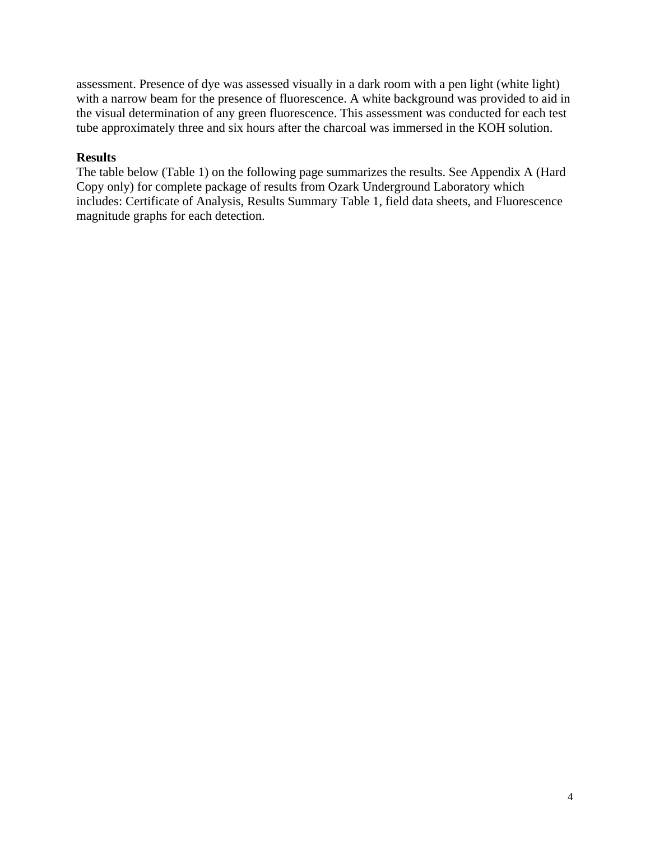assessment. Presence of dye was assessed visually in a dark room with a pen light (white light) with a narrow beam for the presence of fluorescence. A white background was provided to aid in the visual determination of any green fluorescence. This assessment was conducted for each test tube approximately three and six hours after the charcoal was immersed in the KOH solution.

# **Results**

The table below (Table 1) on the following page summarizes the results. See Appendix A (Hard Copy only) for complete package of results from Ozark Underground Laboratory which includes: Certificate of Analysis, Results Summary Table 1, field data sheets, and Fluorescence magnitude graphs for each detection.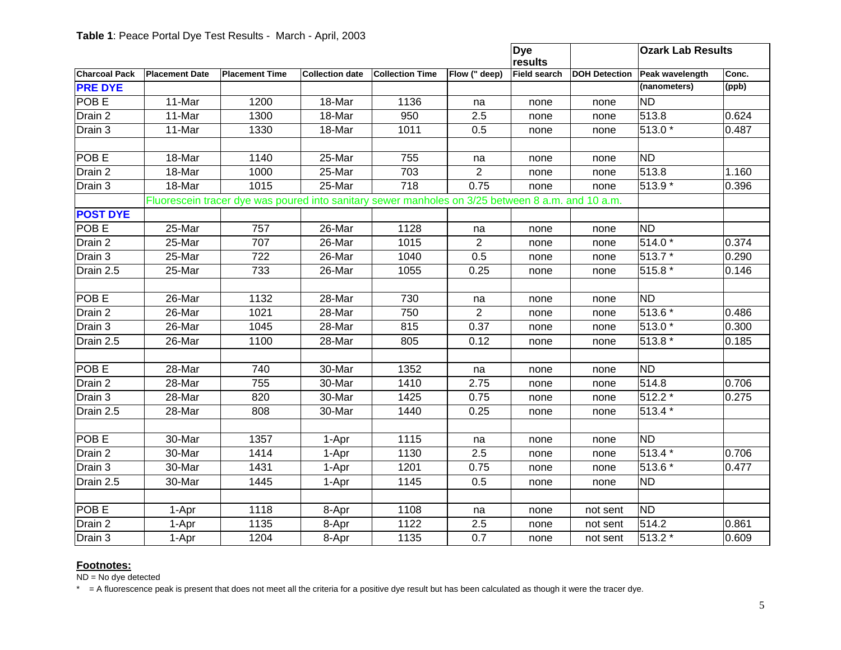|                      |                                                                                                   |                       |                        |                        |                | <b>Dye</b><br>results |                      | <b>Ozark Lab Results</b> |       |
|----------------------|---------------------------------------------------------------------------------------------------|-----------------------|------------------------|------------------------|----------------|-----------------------|----------------------|--------------------------|-------|
| <b>Charcoal Pack</b> | <b>Placement Date</b>                                                                             | <b>Placement Time</b> | <b>Collection date</b> | <b>Collection Time</b> | Flow (" deep)  | Field search          | <b>DOH Detection</b> | Peak wavelength          | Conc. |
| <b>PRE DYE</b>       |                                                                                                   |                       |                        |                        |                |                       |                      | (nanometers)             | (ppb) |
| POB <sub>E</sub>     | 11-Mar                                                                                            | 1200                  | 18-Mar                 | 1136                   | na             | none                  | none                 | <b>ND</b>                |       |
| Drain 2              | 11-Mar                                                                                            | 1300                  | 18-Mar                 | 950                    | 2.5            | none                  | none                 | 513.8                    | 0.624 |
| Drain 3              | 11-Mar                                                                                            | 1330                  | 18-Mar                 | 1011                   | 0.5            | none                  | none                 | 513.0 *                  | 0.487 |
|                      |                                                                                                   |                       |                        |                        |                |                       |                      |                          |       |
| POB <sub>E</sub>     | 18-Mar                                                                                            | 1140                  | 25-Mar                 | 755                    | na             | none                  | none                 | <b>ND</b>                |       |
| Drain 2              | 18-Mar                                                                                            | 1000                  | 25-Mar                 | 703                    | $\overline{2}$ | none                  | none                 | 513.8                    | 1.160 |
| Drain 3              | 18-Mar                                                                                            | 1015                  | 25-Mar                 | $\overline{718}$       | 0.75           | none                  | none                 | 513.9 *                  | 0.396 |
|                      | Fluorescein tracer dye was poured into sanitary sewer manholes on 3/25 between 8 a.m. and 10 a.m. |                       |                        |                        |                |                       |                      |                          |       |
| <b>POST DYE</b>      |                                                                                                   |                       |                        |                        |                |                       |                      |                          |       |
| POB <sub>E</sub>     | 25-Mar                                                                                            | 757                   | 26-Mar                 | 1128                   | na             | none                  | none                 | ΝD                       |       |
| Drain 2              | 25-Mar                                                                                            | 707                   | 26-Mar                 | 1015                   | $\overline{2}$ | none                  | none                 | 514.0*                   | 0.374 |
| Drain 3              | 25-Mar                                                                                            | 722                   | 26-Mar                 | 1040                   | 0.5            | none                  | none                 | 513.7 *                  | 0.290 |
| Drain 2.5            | 25-Mar                                                                                            | 733                   | 26-Mar                 | 1055                   | 0.25           | none                  | none                 | $515.8*$                 | 0.146 |
|                      |                                                                                                   |                       |                        |                        |                |                       |                      |                          |       |
| POB <sub>E</sub>     | 26-Mar                                                                                            | 1132                  | 28-Mar                 | 730                    | na             | none                  | none                 | <b>ND</b>                |       |
| Drain 2              | 26-Mar                                                                                            | 1021                  | 28-Mar                 | 750                    | $\overline{2}$ | none                  | none                 | 513.6 *                  | 0.486 |
| Drain 3              | 26-Mar                                                                                            | 1045                  | 28-Mar                 | 815                    | 0.37           | none                  | none                 | 513.0 *                  | 0.300 |
| Drain 2.5            | 26-Mar                                                                                            | 1100                  | 28-Mar                 | 805                    | 0.12           | none                  | none                 | 513.8 *                  | 0.185 |
|                      |                                                                                                   |                       |                        |                        |                |                       |                      |                          |       |
| <b>POBE</b>          | 28-Mar                                                                                            | 740                   | 30-Mar                 | 1352                   | na             | none                  | none                 | <b>ND</b>                |       |
| Drain 2              | 28-Mar                                                                                            | 755                   | 30-Mar                 | 1410                   | 2.75           | none                  | none                 | 514.8                    | 0.706 |
| Drain 3              | 28-Mar                                                                                            | 820                   | 30-Mar                 | 1425                   | 0.75           | none                  | none                 | $512.2*$                 | 0.275 |
| Drain 2.5            | 28-Mar                                                                                            | 808                   | 30-Mar                 | 1440                   | 0.25           | none                  | none                 | 513.4 *                  |       |
|                      |                                                                                                   |                       |                        |                        |                |                       |                      |                          |       |
| POB <sub>E</sub>     | 30-Mar                                                                                            | 1357                  | 1-Apr                  | 1115                   | na             | none                  | none                 | <b>ND</b>                |       |
| Drain 2              | 30-Mar                                                                                            | 1414                  | 1-Apr                  | 1130                   | 2.5            | none                  | none                 | 513.4 *                  | 0.706 |
| Drain 3              | 30-Mar                                                                                            | 1431                  | 1-Apr                  | 1201                   | 0.75           | none                  | none                 | 513.6 *                  | 0.477 |
| Drain 2.5            | 30-Mar                                                                                            | 1445                  | 1-Apr                  | 1145                   | 0.5            | none                  | none                 | <b>ND</b>                |       |
|                      |                                                                                                   |                       |                        |                        |                |                       |                      |                          |       |
| <b>POBE</b>          | 1-Apr                                                                                             | 1118                  | 8-Apr                  | 1108                   | na             | none                  | not sent             | <b>ND</b>                |       |
| Drain 2              | 1-Apr                                                                                             | 1135                  | 8-Apr                  | 1122                   | 2.5            | none                  | not sent             | 514.2                    | 0.861 |
| Drain 3              | 1-Apr                                                                                             | 1204                  | 8-Apr                  | 1135                   | 0.7            | none                  | not sent             | 513.2 *                  | 0.609 |

**Footnotes:**<br>ND = No dye detected

\* = A fluorescence peak is present that does not meet all the criteria for a positive dye result but has been calculated as though it were the tracer dye.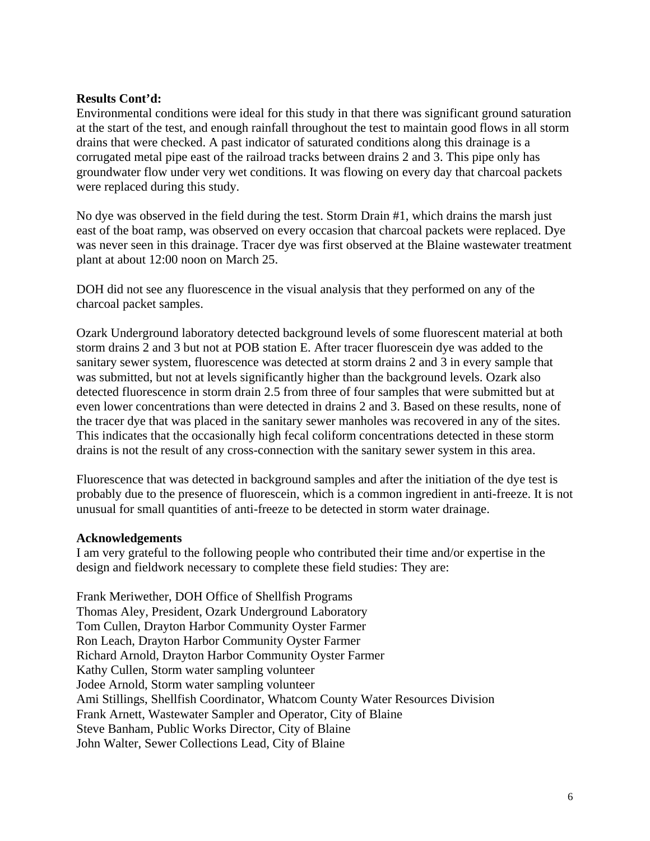## **Results Cont'd:**

Environmental conditions were ideal for this study in that there was significant ground saturation at the start of the test, and enough rainfall throughout the test to maintain good flows in all storm drains that were checked. A past indicator of saturated conditions along this drainage is a corrugated metal pipe east of the railroad tracks between drains 2 and 3. This pipe only has groundwater flow under very wet conditions. It was flowing on every day that charcoal packets were replaced during this study.

No dye was observed in the field during the test. Storm Drain #1, which drains the marsh just east of the boat ramp, was observed on every occasion that charcoal packets were replaced. Dye was never seen in this drainage. Tracer dye was first observed at the Blaine wastewater treatment plant at about 12:00 noon on March 25.

DOH did not see any fluorescence in the visual analysis that they performed on any of the charcoal packet samples.

Ozark Underground laboratory detected background levels of some fluorescent material at both storm drains 2 and 3 but not at POB station E. After tracer fluorescein dye was added to the sanitary sewer system, fluorescence was detected at storm drains 2 and 3 in every sample that was submitted, but not at levels significantly higher than the background levels. Ozark also detected fluorescence in storm drain 2.5 from three of four samples that were submitted but at even lower concentrations than were detected in drains 2 and 3. Based on these results, none of the tracer dye that was placed in the sanitary sewer manholes was recovered in any of the sites. This indicates that the occasionally high fecal coliform concentrations detected in these storm drains is not the result of any cross-connection with the sanitary sewer system in this area.

Fluorescence that was detected in background samples and after the initiation of the dye test is probably due to the presence of fluorescein, which is a common ingredient in anti-freeze. It is not unusual for small quantities of anti-freeze to be detected in storm water drainage.

#### **Acknowledgements**

I am very grateful to the following people who contributed their time and/or expertise in the design and fieldwork necessary to complete these field studies: They are:

Frank Meriwether, DOH Office of Shellfish Programs Thomas Aley, President, Ozark Underground Laboratory Tom Cullen, Drayton Harbor Community Oyster Farmer Ron Leach, Drayton Harbor Community Oyster Farmer Richard Arnold, Drayton Harbor Community Oyster Farmer Kathy Cullen, Storm water sampling volunteer Jodee Arnold, Storm water sampling volunteer Ami Stillings, Shellfish Coordinator, Whatcom County Water Resources Division Frank Arnett, Wastewater Sampler and Operator, City of Blaine Steve Banham, Public Works Director, City of Blaine John Walter, Sewer Collections Lead, City of Blaine